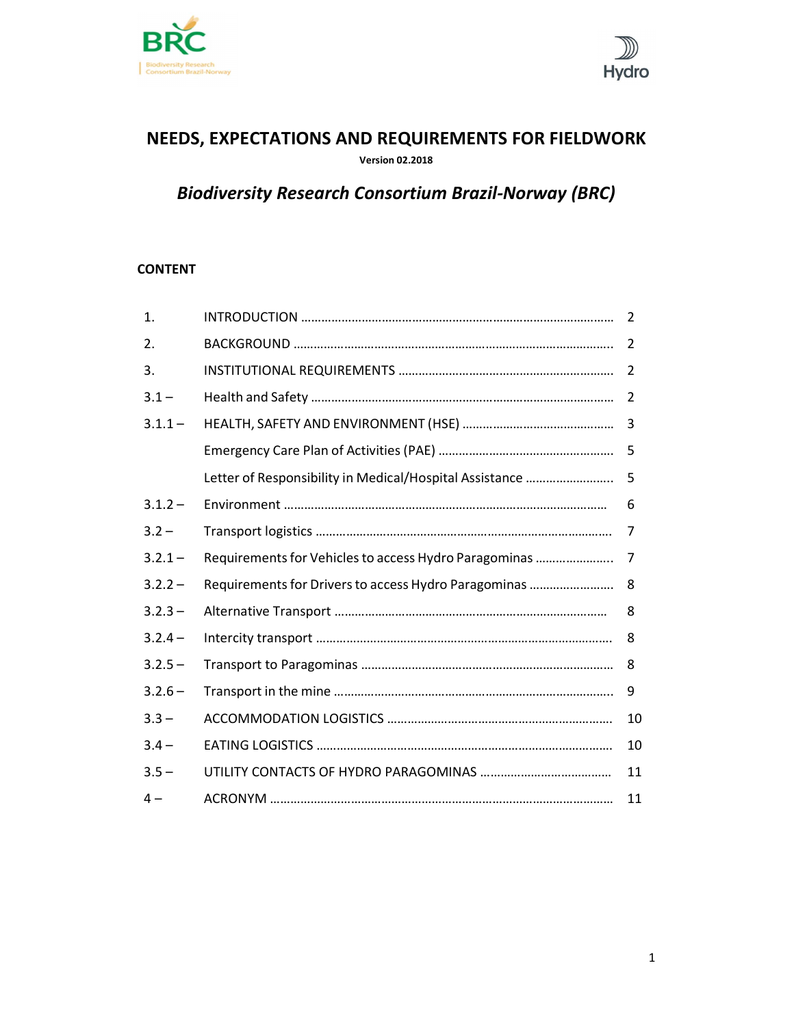



# NEEDS, EXPECTATIONS AND REQUIREMENTS FOR FIELDWORK

Version 02.2018

# Biodiversity Research Consortium Brazil-Norway (BRC)

# CONTENT

| 1.        |                                                            |    |
|-----------|------------------------------------------------------------|----|
| 2.        |                                                            |    |
| 3.        |                                                            |    |
| $3.1 -$   |                                                            |    |
| $3.1.1 -$ |                                                            |    |
|           |                                                            |    |
|           | Letter of Responsibility in Medical/Hospital Assistance  5 |    |
| $3.1.2 -$ |                                                            | -6 |
| $3.2 -$   |                                                            |    |
| $3.2.1 -$ |                                                            |    |
| $3.2.2 -$ |                                                            |    |
| $3.2.3 -$ |                                                            | -8 |
| $3.2.4 -$ |                                                            |    |
| $3.2.5 -$ |                                                            |    |
| $3.2.6 -$ |                                                            |    |
| $3.3 -$   |                                                            |    |
| $3.4 -$   |                                                            | 10 |
| $3.5 -$   |                                                            | 11 |
| $4-$      |                                                            |    |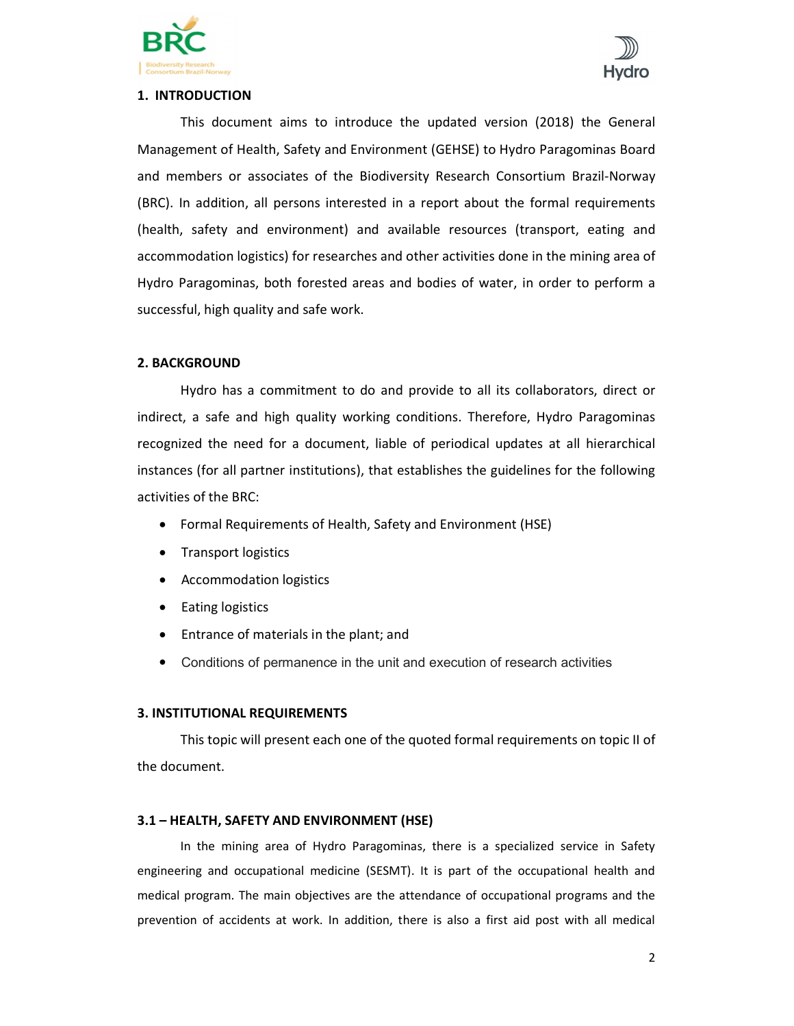



# 1. INTRODUCTION

This document aims to introduce the updated version (2018) the General Management of Health, Safety and Environment (GEHSE) to Hydro Paragominas Board and members or associates of the Biodiversity Research Consortium Brazil-Norway (BRC). In addition, all persons interested in a report about the formal requirements (health, safety and environment) and available resources (transport, eating and accommodation logistics) for researches and other activities done in the mining area of Hydro Paragominas, both forested areas and bodies of water, in order to perform a successful, high quality and safe work.

# 2. BACKGROUND

 Hydro has a commitment to do and provide to all its collaborators, direct or indirect, a safe and high quality working conditions. Therefore, Hydro Paragominas recognized the need for a document, liable of periodical updates at all hierarchical instances (for all partner institutions), that establishes the guidelines for the following activities of the BRC:

- Formal Requirements of Health, Safety and Environment (HSE)
- Transport logistics
- Accommodation logistics
- Eating logistics
- Entrance of materials in the plant; and
- Conditions of permanence in the unit and execution of research activities

# 3. INSTITUTIONAL REQUIREMENTS

 This topic will present each one of the quoted formal requirements on topic II of the document.

# 3.1 – HEALTH, SAFETY AND ENVIRONMENT (HSE)

 In the mining area of Hydro Paragominas, there is a specialized service in Safety engineering and occupational medicine (SESMT). It is part of the occupational health and medical program. The main objectives are the attendance of occupational programs and the prevention of accidents at work. In addition, there is also a first aid post with all medical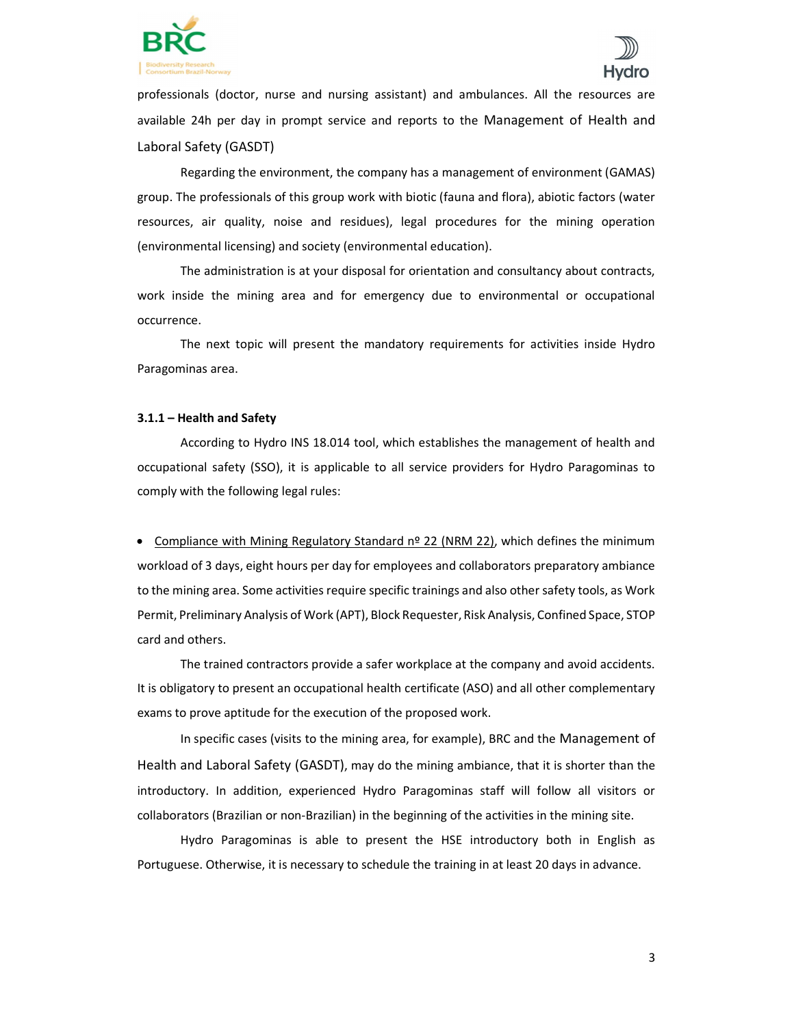



professionals (doctor, nurse and nursing assistant) and ambulances. All the resources are available 24h per day in prompt service and reports to the Management of Health and Laboral Safety (GASDT)

 Regarding the environment, the company has a management of environment (GAMAS) group. The professionals of this group work with biotic (fauna and flora), abiotic factors (water resources, air quality, noise and residues), legal procedures for the mining operation (environmental licensing) and society (environmental education).

 The administration is at your disposal for orientation and consultancy about contracts, work inside the mining area and for emergency due to environmental or occupational occurrence.

 The next topic will present the mandatory requirements for activities inside Hydro Paragominas area.

#### 3.1.1 – Health and Safety

 According to Hydro INS 18.014 tool, which establishes the management of health and occupational safety (SSO), it is applicable to all service providers for Hydro Paragominas to comply with the following legal rules:

• Compliance with Mining Regulatory Standard nº 22 (NRM 22), which defines the minimum workload of 3 days, eight hours per day for employees and collaborators preparatory ambiance to the mining area. Some activities require specific trainings and also other safety tools, as Work Permit, Preliminary Analysis of Work (APT), Block Requester, Risk Analysis, Confined Space, STOP card and others.

 The trained contractors provide a safer workplace at the company and avoid accidents. It is obligatory to present an occupational health certificate (ASO) and all other complementary exams to prove aptitude for the execution of the proposed work.

 In specific cases (visits to the mining area, for example), BRC and the Management of Health and Laboral Safety (GASDT), may do the mining ambiance, that it is shorter than the introductory. In addition, experienced Hydro Paragominas staff will follow all visitors or collaborators (Brazilian or non-Brazilian) in the beginning of the activities in the mining site.

 Hydro Paragominas is able to present the HSE introductory both in English as Portuguese. Otherwise, it is necessary to schedule the training in at least 20 days in advance.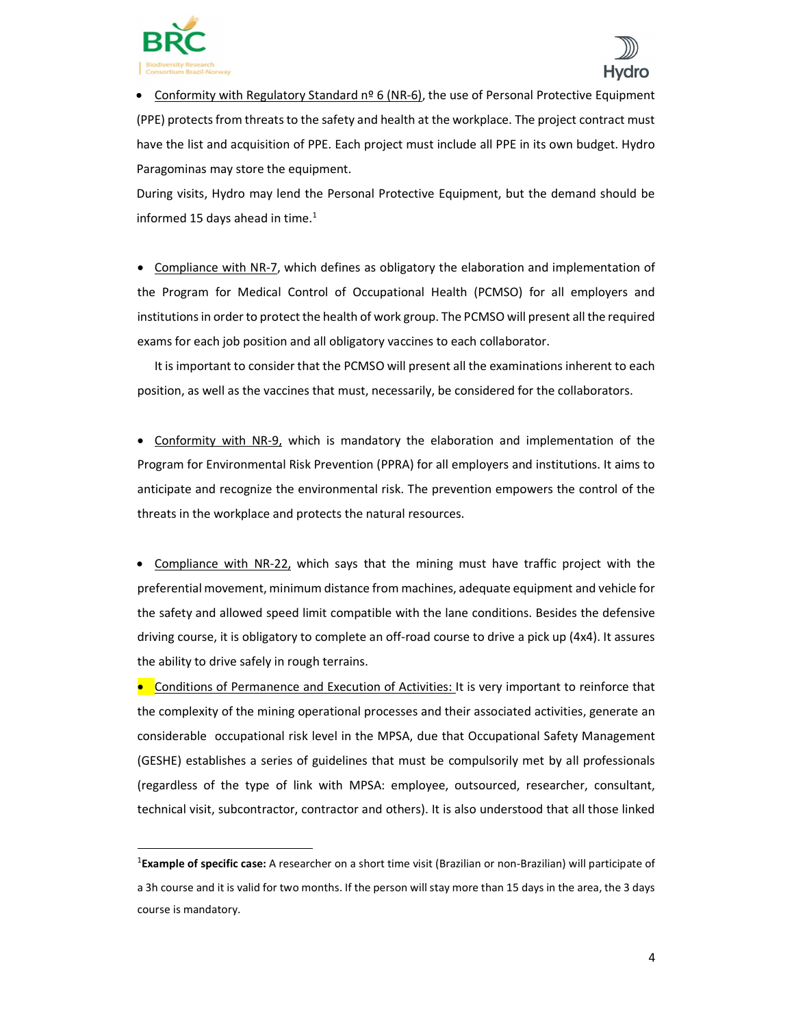

1



Conformity with Regulatory Standard  $n^{\circ}$  6 (NR-6), the use of Personal Protective Equipment (PPE) protects from threats to the safety and health at the workplace. The project contract must have the list and acquisition of PPE. Each project must include all PPE in its own budget. Hydro Paragominas may store the equipment.

During visits, Hydro may lend the Personal Protective Equipment, but the demand should be informed 15 days ahead in time. $1$ 

• Compliance with NR-7, which defines as obligatory the elaboration and implementation of the Program for Medical Control of Occupational Health (PCMSO) for all employers and institutions in order to protect the health of work group. The PCMSO will present all the required exams for each job position and all obligatory vaccines to each collaborator.

 It is important to consider that the PCMSO will present all the examinations inherent to each position, as well as the vaccines that must, necessarily, be considered for the collaborators.

 Conformity with NR-9, which is mandatory the elaboration and implementation of the Program for Environmental Risk Prevention (PPRA) for all employers and institutions. It aims to anticipate and recognize the environmental risk. The prevention empowers the control of the threats in the workplace and protects the natural resources.

 Compliance with NR-22, which says that the mining must have traffic project with the preferential movement, minimum distance from machines, adequate equipment and vehicle for the safety and allowed speed limit compatible with the lane conditions. Besides the defensive driving course, it is obligatory to complete an off-road course to drive a pick up (4x4). It assures the ability to drive safely in rough terrains.

**•** Conditions of Permanence and Execution of Activities: It is very important to reinforce that the complexity of the mining operational processes and their associated activities, generate an considerable occupational risk level in the MPSA, due that Occupational Safety Management (GESHE) establishes a series of guidelines that must be compulsorily met by all professionals (regardless of the type of link with MPSA: employee, outsourced, researcher, consultant, technical visit, subcontractor, contractor and others). It is also understood that all those linked

<sup>&</sup>lt;sup>1</sup>Example of specific case: A researcher on a short time visit (Brazilian or non-Brazilian) will participate of a 3h course and it is valid for two months. If the person will stay more than 15 days in the area, the 3 days course is mandatory.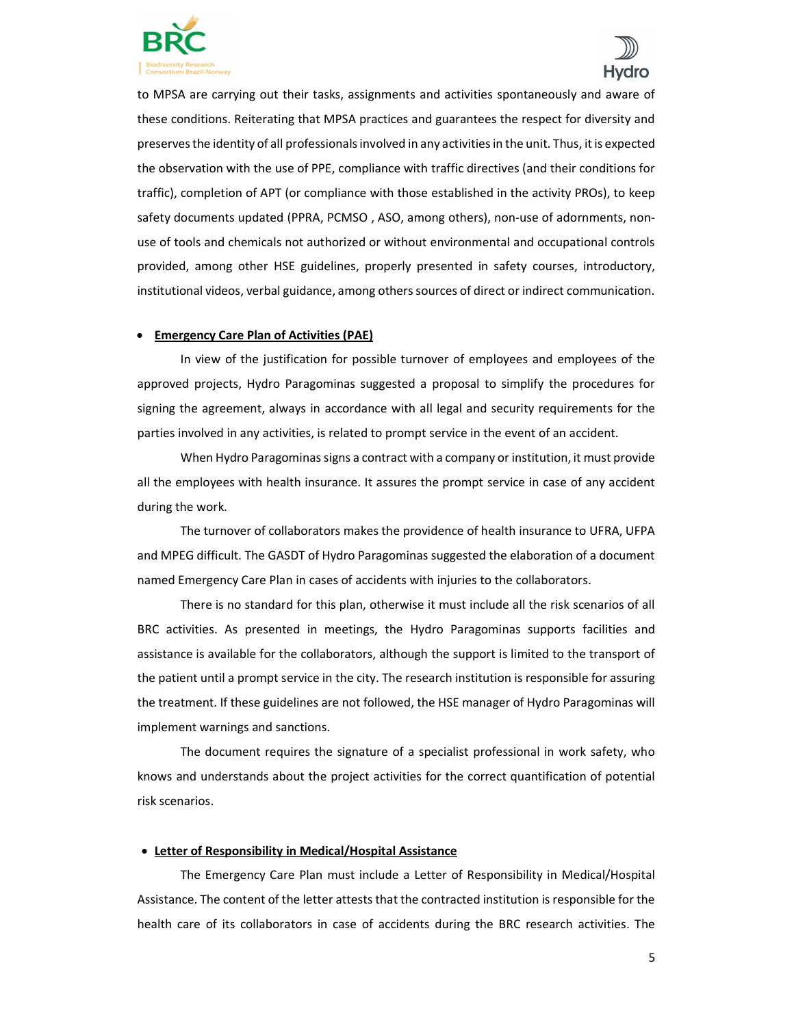



to MPSA are carrying out their tasks, assignments and activities spontaneously and aware of these conditions. Reiterating that MPSA practices and guarantees the respect for diversity and preserves the identity of all professionals involved in any activities in the unit. Thus, it is expected the observation with the use of PPE, compliance with traffic directives (and their conditions for traffic), completion of APT (or compliance with those established in the activity PROs), to keep safety documents updated (PPRA, PCMSO , ASO, among others), non-use of adornments, nonuse of tools and chemicals not authorized or without environmental and occupational controls provided, among other HSE guidelines, properly presented in safety courses, introductory, institutional videos, verbal guidance, among others sources of direct or indirect communication.

### Emergency Care Plan of Activities (PAE)

 In view of the justification for possible turnover of employees and employees of the approved projects, Hydro Paragominas suggested a proposal to simplify the procedures for signing the agreement, always in accordance with all legal and security requirements for the parties involved in any activities, is related to prompt service in the event of an accident.

 When Hydro Paragominas signs a contract with a company or institution, it must provide all the employees with health insurance. It assures the prompt service in case of any accident during the work.

 The turnover of collaborators makes the providence of health insurance to UFRA, UFPA and MPEG difficult. The GASDT of Hydro Paragominas suggested the elaboration of a document named Emergency Care Plan in cases of accidents with injuries to the collaborators.

 There is no standard for this plan, otherwise it must include all the risk scenarios of all BRC activities. As presented in meetings, the Hydro Paragominas supports facilities and assistance is available for the collaborators, although the support is limited to the transport of the patient until a prompt service in the city. The research institution is responsible for assuring the treatment. If these guidelines are not followed, the HSE manager of Hydro Paragominas will implement warnings and sanctions.

 The document requires the signature of a specialist professional in work safety, who knows and understands about the project activities for the correct quantification of potential risk scenarios.

#### Letter of Responsibility in Medical/Hospital Assistance

 The Emergency Care Plan must include a Letter of Responsibility in Medical/Hospital Assistance. The content of the letter attests that the contracted institution is responsible for the health care of its collaborators in case of accidents during the BRC research activities. The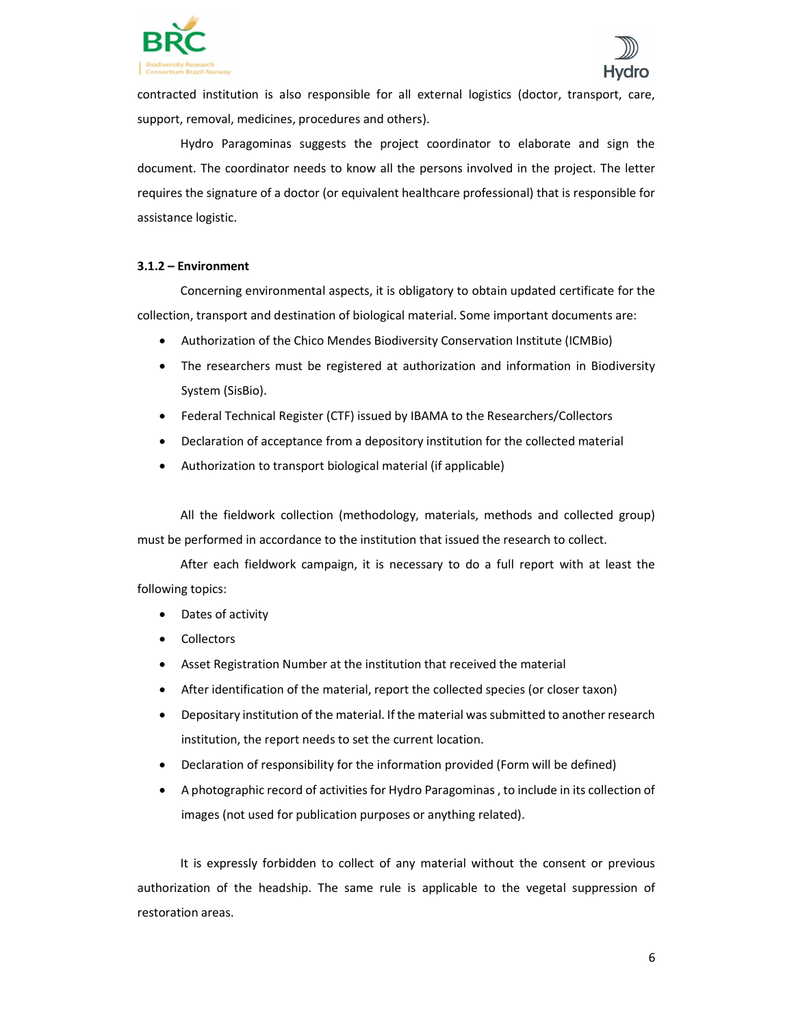



contracted institution is also responsible for all external logistics (doctor, transport, care, support, removal, medicines, procedures and others).

 Hydro Paragominas suggests the project coordinator to elaborate and sign the document. The coordinator needs to know all the persons involved in the project. The letter requires the signature of a doctor (or equivalent healthcare professional) that is responsible for assistance logistic.

## 3.1.2 – Environment

 Concerning environmental aspects, it is obligatory to obtain updated certificate for the collection, transport and destination of biological material. Some important documents are:

- Authorization of the Chico Mendes Biodiversity Conservation Institute (ICMBio)
- The researchers must be registered at authorization and information in Biodiversity System (SisBio).
- Federal Technical Register (CTF) issued by IBAMA to the Researchers/Collectors
- Declaration of acceptance from a depository institution for the collected material
- Authorization to transport biological material (if applicable)

All the fieldwork collection (methodology, materials, methods and collected group) must be performed in accordance to the institution that issued the research to collect.

After each fieldwork campaign, it is necessary to do a full report with at least the following topics:

- Dates of activity
- Collectors
- Asset Registration Number at the institution that received the material
- After identification of the material, report the collected species (or closer taxon)
- Depositary institution of the material. If the material was submitted to another research institution, the report needs to set the current location.
- Declaration of responsibility for the information provided (Form will be defined)
- A photographic record of activities for Hydro Paragominas , to include in its collection of images (not used for publication purposes or anything related).

 It is expressly forbidden to collect of any material without the consent or previous authorization of the headship. The same rule is applicable to the vegetal suppression of restoration areas.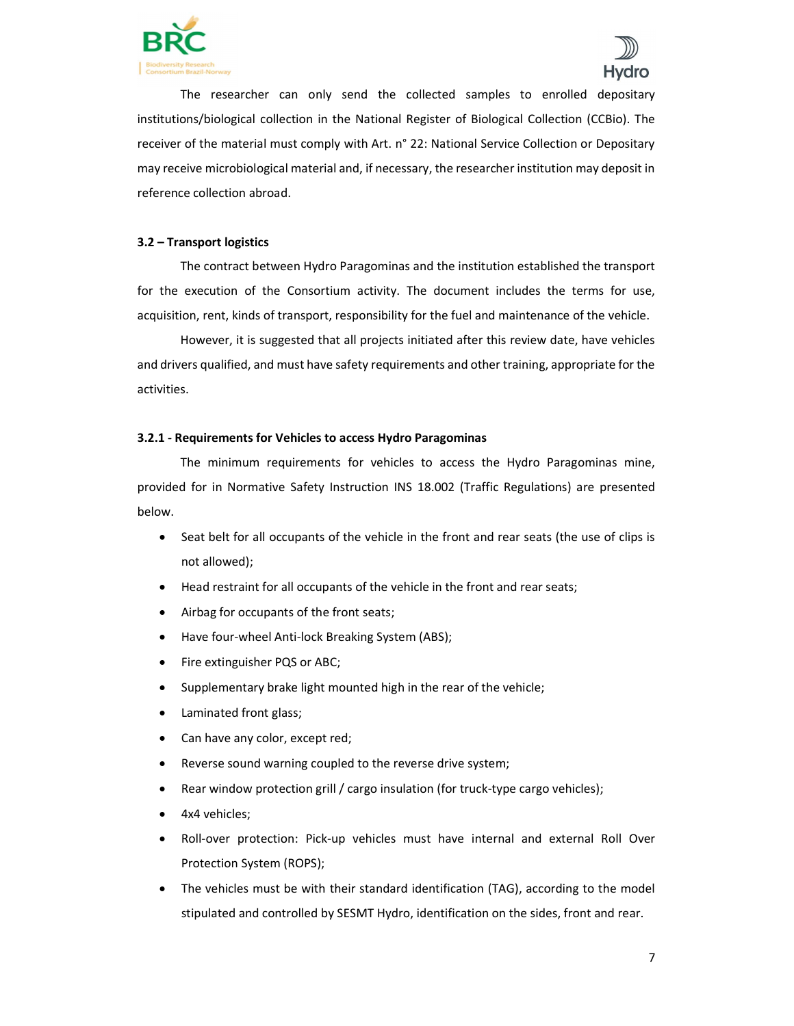



 The researcher can only send the collected samples to enrolled depositary institutions/biological collection in the National Register of Biological Collection (CCBio). The receiver of the material must comply with Art. n° 22: National Service Collection or Depositary may receive microbiological material and, if necessary, the researcher institution may deposit in reference collection abroad.

# 3.2 – Transport logistics

 The contract between Hydro Paragominas and the institution established the transport for the execution of the Consortium activity. The document includes the terms for use, acquisition, rent, kinds of transport, responsibility for the fuel and maintenance of the vehicle.

 However, it is suggested that all projects initiated after this review date, have vehicles and drivers qualified, and must have safety requirements and other training, appropriate for the activities.

### 3.2.1 - Requirements for Vehicles to access Hydro Paragominas

 The minimum requirements for vehicles to access the Hydro Paragominas mine, provided for in Normative Safety Instruction INS 18.002 (Traffic Regulations) are presented below.

- Seat belt for all occupants of the vehicle in the front and rear seats (the use of clips is not allowed);
- Head restraint for all occupants of the vehicle in the front and rear seats;
- Airbag for occupants of the front seats;
- Have four-wheel Anti-lock Breaking System (ABS);
- Fire extinguisher PQS or ABC;
- Supplementary brake light mounted high in the rear of the vehicle;
- Laminated front glass;
- Can have any color, except red;
- Reverse sound warning coupled to the reverse drive system;
- Rear window protection grill / cargo insulation (for truck-type cargo vehicles);
- 4x4 vehicles;
- Roll-over protection: Pick-up vehicles must have internal and external Roll Over Protection System (ROPS);
- The vehicles must be with their standard identification (TAG), according to the model stipulated and controlled by SESMT Hydro, identification on the sides, front and rear.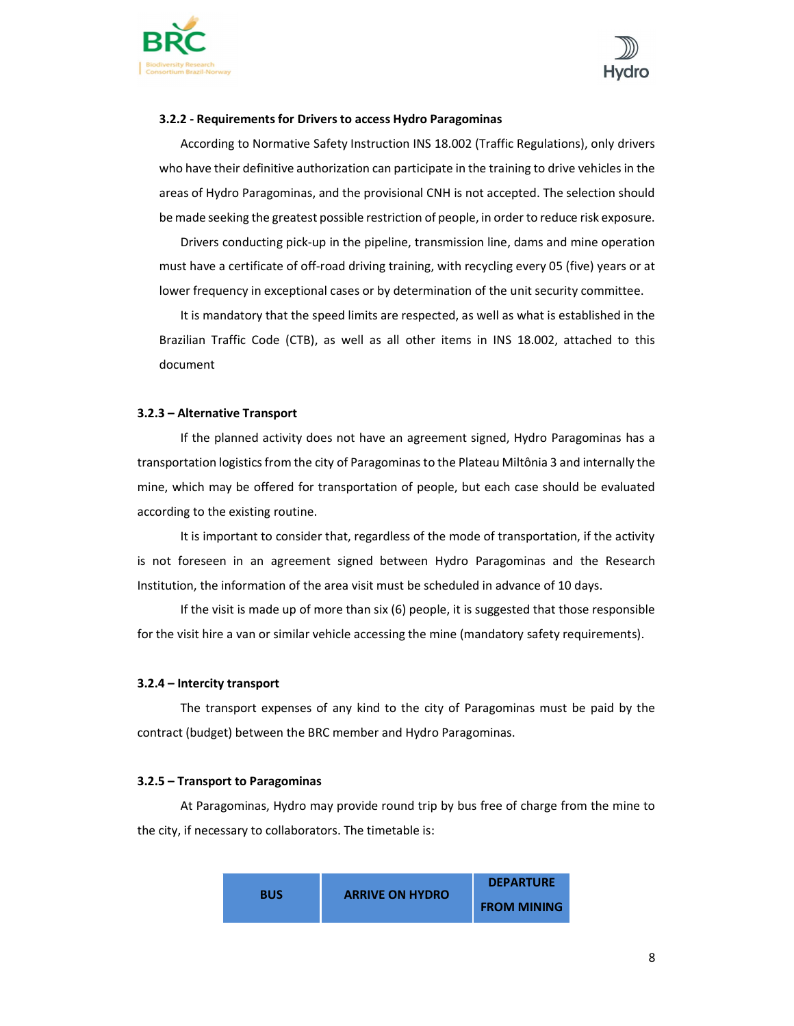



#### 3.2.2 - Requirements for Drivers to access Hydro Paragominas

 According to Normative Safety Instruction INS 18.002 (Traffic Regulations), only drivers who have their definitive authorization can participate in the training to drive vehicles in the areas of Hydro Paragominas, and the provisional CNH is not accepted. The selection should be made seeking the greatest possible restriction of people, in order to reduce risk exposure.

 Drivers conducting pick-up in the pipeline, transmission line, dams and mine operation must have a certificate of off-road driving training, with recycling every 05 (five) years or at lower frequency in exceptional cases or by determination of the unit security committee.

 It is mandatory that the speed limits are respected, as well as what is established in the Brazilian Traffic Code (CTB), as well as all other items in INS 18.002, attached to this document

#### 3.2.3 – Alternative Transport

 If the planned activity does not have an agreement signed, Hydro Paragominas has a transportation logistics from the city of Paragominas to the Plateau Miltônia 3 and internally the mine, which may be offered for transportation of people, but each case should be evaluated according to the existing routine.

 It is important to consider that, regardless of the mode of transportation, if the activity is not foreseen in an agreement signed between Hydro Paragominas and the Research Institution, the information of the area visit must be scheduled in advance of 10 days.

 If the visit is made up of more than six (6) people, it is suggested that those responsible for the visit hire a van or similar vehicle accessing the mine (mandatory safety requirements).

#### 3.2.4 – Intercity transport

 The transport expenses of any kind to the city of Paragominas must be paid by the contract (budget) between the BRC member and Hydro Paragominas.

#### 3.2.5 – Transport to Paragominas

 At Paragominas, Hydro may provide round trip by bus free of charge from the mine to the city, if necessary to collaborators. The timetable is:

|            | <b>ARRIVE ON HYDRO</b> | <b>DEPARTURE</b>   |
|------------|------------------------|--------------------|
| <b>BUS</b> |                        | <b>FROM MINING</b> |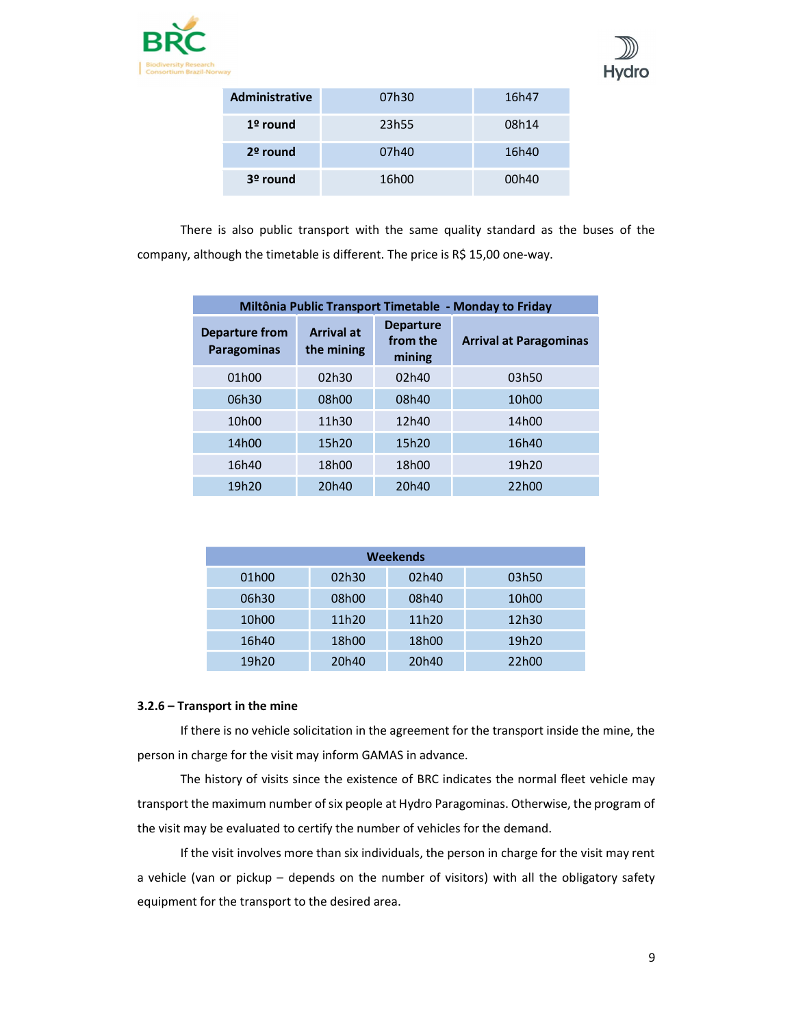



| <b>Administrative</b> | 07h30 | 16h47 |
|-----------------------|-------|-------|
| $1°$ round            | 23h55 | 08h14 |
| $2o$ round            | 07h40 | 16h40 |
| 3º round              | 16h00 | 00h40 |

 There is also public transport with the same quality standard as the buses of the company, although the timetable is different. The price is R\$ 15,00 one-way.

| Miltônia Public Transport Timetable - Monday to Friday |                                 |                                        |                               |
|--------------------------------------------------------|---------------------------------|----------------------------------------|-------------------------------|
| <b>Departure from</b><br><b>Paragominas</b>            | <b>Arrival at</b><br>the mining | <b>Departure</b><br>from the<br>mining | <b>Arrival at Paragominas</b> |
| 01h00                                                  | 02h30                           | 02h40                                  | 03h50                         |
| 06h30                                                  | 08h00                           | 08h40                                  | 10 <sub>h</sub> 00            |
| 10 <sub>h</sub> 00                                     | 11h30                           | 12h40                                  | 14h00                         |
| 14h00                                                  | 15h20                           | 15h20                                  | 16h40                         |
| 16h40                                                  | 18h00                           | 18h00                                  | 19h20                         |
| 19h20                                                  | 20h40                           | 20h40                                  | 22h00                         |

| Weekends           |       |       |                    |
|--------------------|-------|-------|--------------------|
| 01h00              | 02h30 | 02h40 | 03h50              |
| 06h30              | 08h00 | 08h40 | 10 <sub>h</sub> 00 |
| 10 <sub>h</sub> 00 | 11h20 | 11h20 | 12h30              |
| 16h40              | 18h00 | 18h00 | 19h20              |
| 19h20              | 20h40 | 20h40 | 22h00              |

# 3.2.6 – Transport in the mine

 If there is no vehicle solicitation in the agreement for the transport inside the mine, the person in charge for the visit may inform GAMAS in advance.

 The history of visits since the existence of BRC indicates the normal fleet vehicle may transport the maximum number of six people at Hydro Paragominas. Otherwise, the program of the visit may be evaluated to certify the number of vehicles for the demand.

 If the visit involves more than six individuals, the person in charge for the visit may rent a vehicle (van or pickup – depends on the number of visitors) with all the obligatory safety equipment for the transport to the desired area.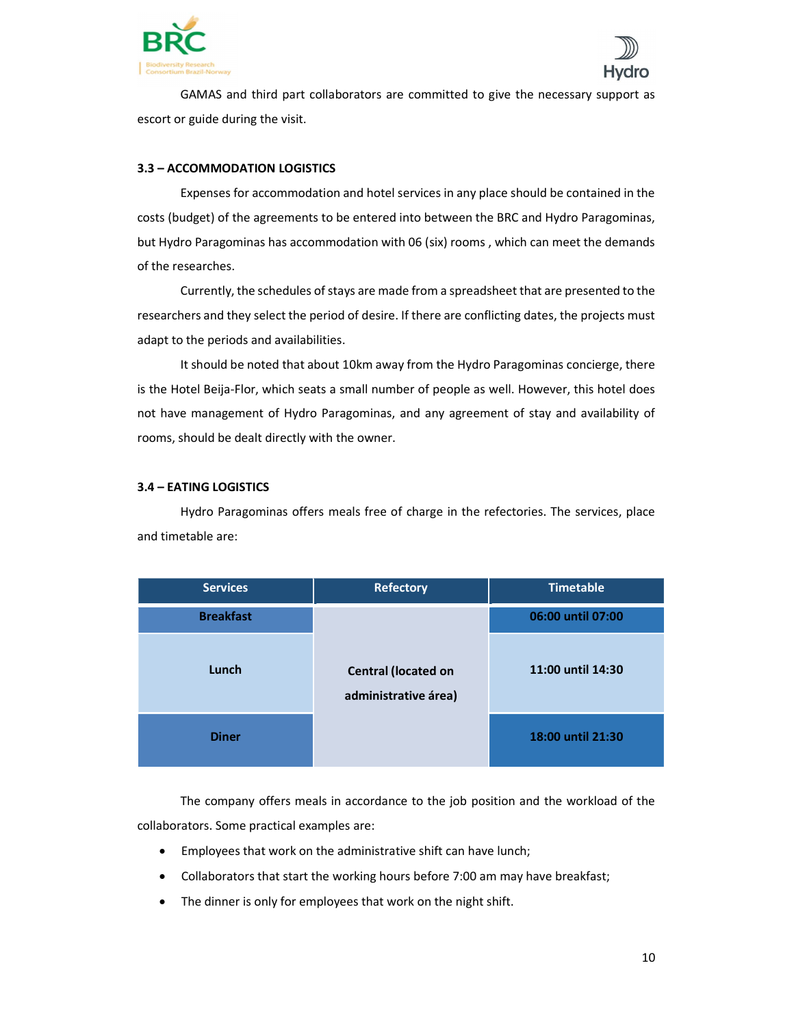



 GAMAS and third part collaborators are committed to give the necessary support as escort or guide during the visit.

# 3.3 – ACCOMMODATION LOGISTICS

 Expenses for accommodation and hotel services in any place should be contained in the costs (budget) of the agreements to be entered into between the BRC and Hydro Paragominas, but Hydro Paragominas has accommodation with 06 (six) rooms , which can meet the demands of the researches.

Currently, the schedules of stays are made from a spreadsheet that are presented to the researchers and they select the period of desire. If there are conflicting dates, the projects must adapt to the periods and availabilities.

It should be noted that about 10km away from the Hydro Paragominas concierge, there is the Hotel Beija-Flor, which seats a small number of people as well. However, this hotel does not have management of Hydro Paragominas, and any agreement of stay and availability of rooms, should be dealt directly with the owner.

# 3.4 – EATING LOGISTICS

 Hydro Paragominas offers meals free of charge in the refectories. The services, place and timetable are:

| <b>Services</b>  | <b>Refectory</b>                                   | <b>Timetable</b>  |
|------------------|----------------------------------------------------|-------------------|
| <b>Breakfast</b> | <b>Central (located on</b><br>administrative área) | 06:00 until 07:00 |
| Lunch            |                                                    | 11:00 until 14:30 |
| <b>Diner</b>     |                                                    | 18:00 until 21:30 |

 The company offers meals in accordance to the job position and the workload of the collaborators. Some practical examples are:

- Employees that work on the administrative shift can have lunch;
- Collaborators that start the working hours before 7:00 am may have breakfast;
- The dinner is only for employees that work on the night shift.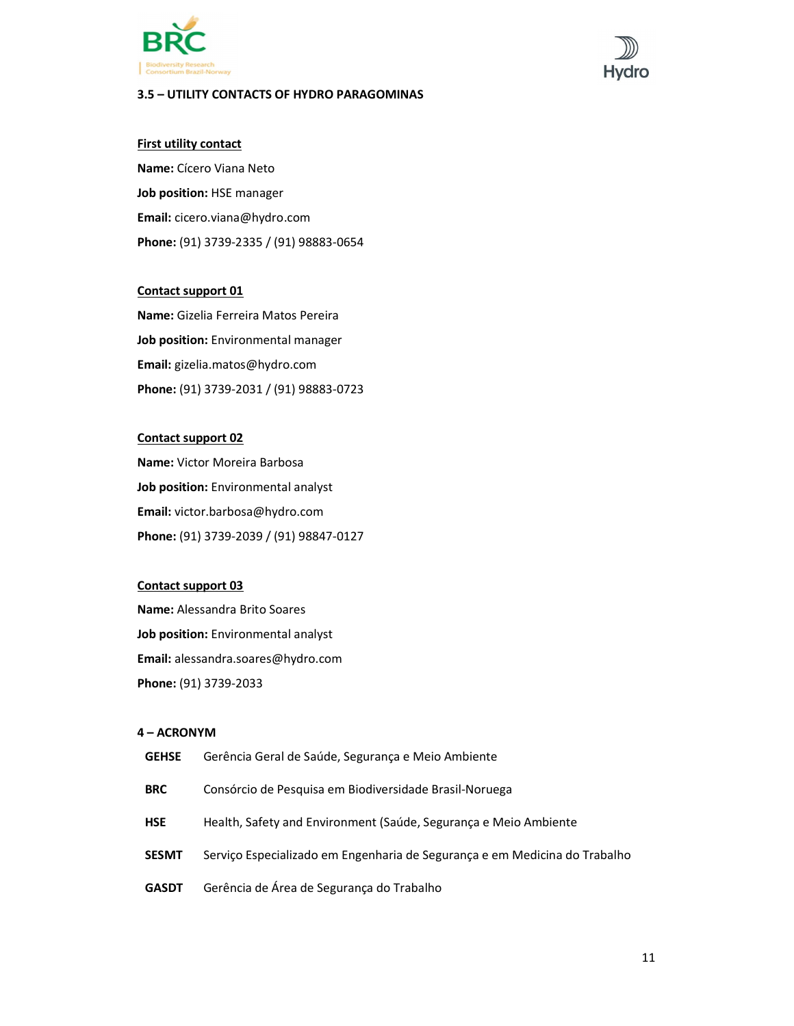

# 3.5 – UTILITY CONTACTS OF HYDRO PARAGOMINAS

# **First utility contact**

Name: Cícero Viana Neto Job position: HSE manager Email: cicero.viana@hydro.com Phone: (91) 3739-2335 / (91) 98883-0654

# Contact support 01

Name: Gizelia Ferreira Matos Pereira Job position: Environmental manager Email: gizelia.matos@hydro.com Phone: (91) 3739-2031 / (91) 98883-0723

## Contact support 02

Name: Victor Moreira Barbosa Job position: Environmental analyst Email: victor.barbosa@hydro.com Phone: (91) 3739-2039 / (91) 98847-0127

# Contact support 03

Name: Alessandra Brito Soares Job position: Environmental analyst Email: alessandra.soares@hydro.com Phone: (91) 3739-2033

# 4 – ACRONYM

| <b>GEHSE</b> | Gerência Geral de Saúde, Segurança e Meio Ambiente                         |
|--------------|----------------------------------------------------------------------------|
| <b>BRC</b>   | Consórcio de Pesquisa em Biodiversidade Brasil-Noruega                     |
| <b>HSE</b>   | Health, Safety and Environment (Saúde, Seguranca e Meio Ambiente           |
| <b>SESMT</b> | Servico Especializado em Engenharia de Seguranca e em Medicina do Trabalho |
| <b>GASDT</b> | Gerência de Área de Segurança do Trabalho                                  |
|              |                                                                            |